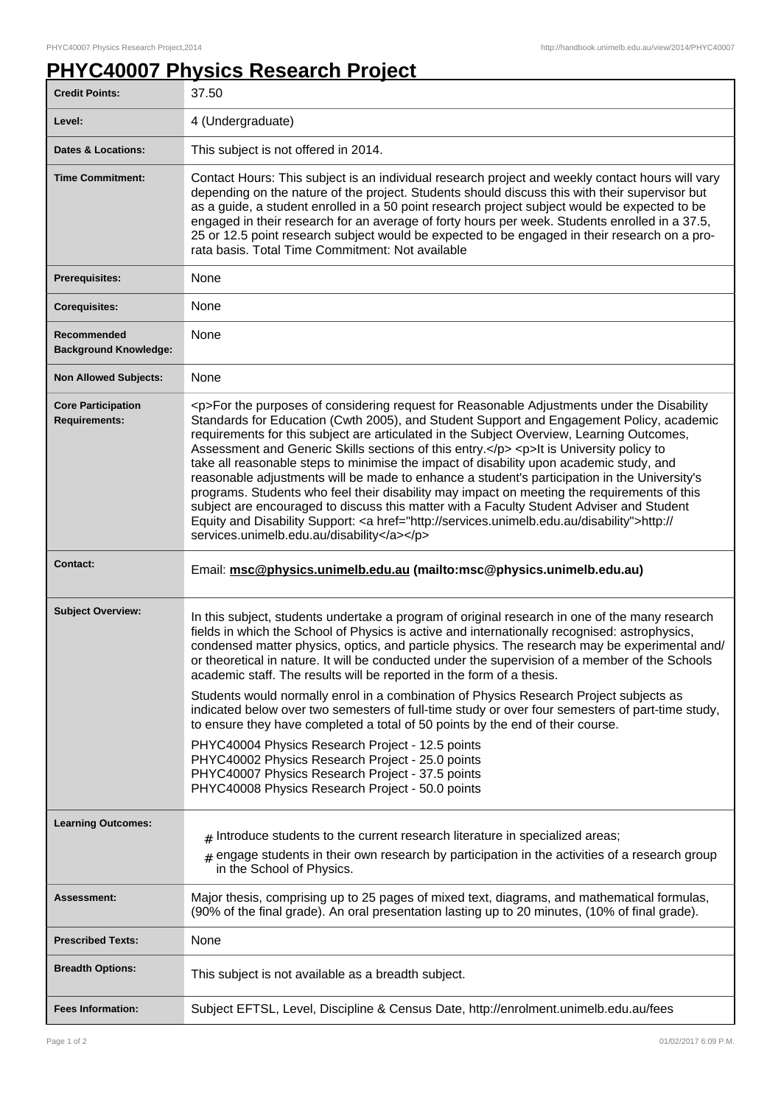## **PHYC40007 Physics Research Project**

| <b>Credit Points:</b>                             | 37.50                                                                                                                                                                                                                                                                                                                                                                                                                                                                                                                                                                                                                                                                                                                                                                                                                                                                                                                                                                        |
|---------------------------------------------------|------------------------------------------------------------------------------------------------------------------------------------------------------------------------------------------------------------------------------------------------------------------------------------------------------------------------------------------------------------------------------------------------------------------------------------------------------------------------------------------------------------------------------------------------------------------------------------------------------------------------------------------------------------------------------------------------------------------------------------------------------------------------------------------------------------------------------------------------------------------------------------------------------------------------------------------------------------------------------|
| Level:                                            | 4 (Undergraduate)                                                                                                                                                                                                                                                                                                                                                                                                                                                                                                                                                                                                                                                                                                                                                                                                                                                                                                                                                            |
| <b>Dates &amp; Locations:</b>                     | This subject is not offered in 2014.                                                                                                                                                                                                                                                                                                                                                                                                                                                                                                                                                                                                                                                                                                                                                                                                                                                                                                                                         |
| <b>Time Commitment:</b>                           | Contact Hours: This subject is an individual research project and weekly contact hours will vary<br>depending on the nature of the project. Students should discuss this with their supervisor but<br>as a guide, a student enrolled in a 50 point research project subject would be expected to be<br>engaged in their research for an average of forty hours per week. Students enrolled in a 37.5,<br>25 or 12.5 point research subject would be expected to be engaged in their research on a pro-<br>rata basis. Total Time Commitment: Not available                                                                                                                                                                                                                                                                                                                                                                                                                   |
| <b>Prerequisites:</b>                             | None                                                                                                                                                                                                                                                                                                                                                                                                                                                                                                                                                                                                                                                                                                                                                                                                                                                                                                                                                                         |
| <b>Corequisites:</b>                              | None                                                                                                                                                                                                                                                                                                                                                                                                                                                                                                                                                                                                                                                                                                                                                                                                                                                                                                                                                                         |
| Recommended<br><b>Background Knowledge:</b>       | None                                                                                                                                                                                                                                                                                                                                                                                                                                                                                                                                                                                                                                                                                                                                                                                                                                                                                                                                                                         |
| <b>Non Allowed Subjects:</b>                      | None                                                                                                                                                                                                                                                                                                                                                                                                                                                                                                                                                                                                                                                                                                                                                                                                                                                                                                                                                                         |
| <b>Core Participation</b><br><b>Requirements:</b> | <p>For the purposes of considering request for Reasonable Adjustments under the Disability<br/>Standards for Education (Cwth 2005), and Student Support and Engagement Policy, academic<br/>requirements for this subject are articulated in the Subject Overview, Learning Outcomes,<br/>Assessment and Generic Skills sections of this entry.</p> <p>lt is University policy to<br/>take all reasonable steps to minimise the impact of disability upon academic study, and<br/>reasonable adjustments will be made to enhance a student's participation in the University's<br/>programs. Students who feel their disability may impact on meeting the requirements of this<br/>subject are encouraged to discuss this matter with a Faculty Student Adviser and Student<br/>Equity and Disability Support: &lt; a href="http://services.unimelb.edu.au/disability"&gt;http://<br/>services.unimelb.edu.au/disability</p>                                                 |
|                                                   |                                                                                                                                                                                                                                                                                                                                                                                                                                                                                                                                                                                                                                                                                                                                                                                                                                                                                                                                                                              |
| <b>Contact:</b>                                   | Email: msc@physics.unimelb.edu.au (mailto:msc@physics.unimelb.edu.au)                                                                                                                                                                                                                                                                                                                                                                                                                                                                                                                                                                                                                                                                                                                                                                                                                                                                                                        |
| <b>Subject Overview:</b>                          | In this subject, students undertake a program of original research in one of the many research<br>fields in which the School of Physics is active and internationally recognised: astrophysics,<br>condensed matter physics, optics, and particle physics. The research may be experimental and/<br>or theoretical in nature. It will be conducted under the supervision of a member of the Schools<br>academic staff. The results will be reported in the form of a thesis.<br>Students would normally enrol in a combination of Physics Research Project subjects as<br>indicated below over two semesters of full-time study or over four semesters of part-time study,<br>to ensure they have completed a total of 50 points by the end of their course.<br>PHYC40004 Physics Research Project - 12.5 points<br>PHYC40002 Physics Research Project - 25.0 points<br>PHYC40007 Physics Research Project - 37.5 points<br>PHYC40008 Physics Research Project - 50.0 points |
| <b>Learning Outcomes:</b>                         | $#$ Introduce students to the current research literature in specialized areas;<br>$_{\text{\#}}$ engage students in their own research by participation in the activities of a research group<br>in the School of Physics.                                                                                                                                                                                                                                                                                                                                                                                                                                                                                                                                                                                                                                                                                                                                                  |
| Assessment:                                       | Major thesis, comprising up to 25 pages of mixed text, diagrams, and mathematical formulas,<br>(90% of the final grade). An oral presentation lasting up to 20 minutes, (10% of final grade).                                                                                                                                                                                                                                                                                                                                                                                                                                                                                                                                                                                                                                                                                                                                                                                |
| <b>Prescribed Texts:</b>                          | None                                                                                                                                                                                                                                                                                                                                                                                                                                                                                                                                                                                                                                                                                                                                                                                                                                                                                                                                                                         |
| <b>Breadth Options:</b>                           | This subject is not available as a breadth subject.                                                                                                                                                                                                                                                                                                                                                                                                                                                                                                                                                                                                                                                                                                                                                                                                                                                                                                                          |